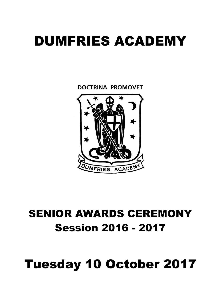# DUMFRIES ACADEMY

**DOCTRINA PROMOVET** 



## SENIOR AWARDS CEREMONY Session 2016 - 2017

## Tuesday 10 October 2017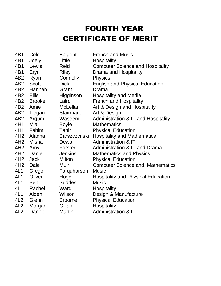## FOURTH YEAR CERTIFICATE OF MERIT

| 4B1             | Cole          | <b>Baigent</b>  | <b>French and Music</b>                   |
|-----------------|---------------|-----------------|-------------------------------------------|
| 4B1             | Joely         | Little          | Hospitality                               |
| 4B1             | Lewis         | Reid            | <b>Computer Science and Hospitality</b>   |
| 4B1             | Eryn          | <b>Riley</b>    | Drama and Hospitality                     |
| 4B <sub>2</sub> | Ryan          | Connelly        | <b>Physics</b>                            |
| 4B <sub>2</sub> | <b>Scott</b>  | <b>Dick</b>     | <b>English and Physical Education</b>     |
| 4B <sub>2</sub> | Hannah        | Grant           | Drama                                     |
| 4B <sub>2</sub> | <b>Ellis</b>  | Higginson       | <b>Hospitality and Media</b>              |
| 4B <sub>2</sub> | <b>Brooke</b> | Laird           | <b>French and Hospitality</b>             |
| 4B <sub>2</sub> | Amie          | <b>McLellan</b> | Art & Design and Hospitality              |
| 4B <sub>2</sub> | Tiegan        | Stairmand       | Art & Design                              |
| 4B <sub>2</sub> | Arqum         | Waseem          | Administration & IT and Hospitality       |
| 4H1             | Mia           | <b>Boyle</b>    | <b>Mathematics</b>                        |
| 4H1             | Fahim         | Tahir           | <b>Physical Education</b>                 |
| 4H <sub>2</sub> | Alanna        | Barszczynski    | <b>Hospitality and Mathematics</b>        |
| 4H <sub>2</sub> | Misha         | Dewar           | <b>Administration &amp; IT</b>            |
| 4H <sub>2</sub> | Amy           | Forster         | Administration & IT and Drama             |
| 4H <sub>2</sub> | Daniel        | <b>Jenkins</b>  | <b>Mathematics and Physics</b>            |
| 4H <sub>2</sub> | <b>Jack</b>   | Milton          | <b>Physical Education</b>                 |
| 4H <sub>2</sub> | Dale          | Muir            | <b>Computer Science and, Mathematics</b>  |
| 4L1             | Gregor        | Farquharson     | <b>Music</b>                              |
| 4L1             | Oliver        | Hogg            | <b>Hospitality and Physical Education</b> |
| 4L1             | <b>Ben</b>    | <b>Suddes</b>   | <b>Music</b>                              |
| 4L1             | Rachel        | Ward            | <b>Hospitality</b>                        |
| 4L1             | Aiden         | Wilson          | Design & Manufacture                      |
| 4L2             | Glenn         | <b>Broome</b>   | <b>Physical Education</b>                 |
| 4L2             | Morgan        | Gillan          | Hospitality                               |
| 4L2             | Dannie        | <b>Martin</b>   | <b>Administration &amp; IT</b>            |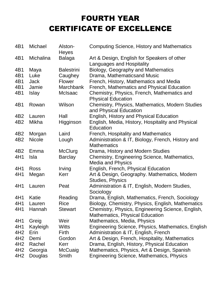## FOURTH YEAR CERTIFICATE OF EXCELLENCE

| 4B1             | Michael       | Alston-<br>Heyes  | <b>Computing Science, History and Mathematics</b>                         |
|-----------------|---------------|-------------------|---------------------------------------------------------------------------|
| 4B1             | Michalina     | <b>Balaga</b>     | Art & Design, English for Speakers of other<br>Languages and Hospitality  |
| 4B1             | Maya          | <b>Balestrini</b> | Biology, Geography and Mathematics                                        |
| 4B1             | Luke          | Caughey           | Drama, Mathematicsand Music                                               |
| 4B1             | <b>Jack</b>   | <b>Flower</b>     | French, History, Mathematics and Media                                    |
| 4B1             | Jamie         | <b>Marchbank</b>  | French, Mathematics and Physical Education                                |
| 4B1             | <b>Islay</b>  | McIsaac           | Chemistry, Physics, French, Mathematics and<br><b>Physical Education</b>  |
| 4B1             | Rowan         | Wilson            | Chemistry, Physics, Mathematics, Modern Studies<br>and Physical Education |
| 4B <sub>2</sub> | Lauren        | Hall              | English, History and Physical Education                                   |
| 4B <sub>2</sub> | Mikha         | Higginson         | English, Media, History, Hospitality and Physical                         |
|                 |               |                   | Education                                                                 |
| 4B <sub>2</sub> | Morgan        | Laird             | French, Hospitality and Mathematics                                       |
| 4B <sub>2</sub> | <b>Nicole</b> | Lough             | Administration & IT, Biology, French, History and                         |
|                 |               |                   | <b>Mathematics</b>                                                        |
| 4B <sub>2</sub> | Emma          | McClurg           | Drama, History and Modern Studies                                         |
| 4H1             | Isla          | <b>Barclay</b>    | Chemistry, Engineering Science, Mathematics,                              |
|                 |               |                   | <b>Media and Physics</b>                                                  |
| 4H1             | <b>Ross</b>   | Irving            | English, French, Physical Education                                       |
| 4H1             | Megan         | Kerr              | Art & Design, Geography. Mathematics, Modern<br><b>Studies, Physics</b>   |
| 4H1             | Lauren        | Peat              | Administration & IT, English, Modern Studies,                             |
|                 |               |                   | Sociology                                                                 |
| 4H1             | Katie         | Reading           | Drama, English, Mathematics, French, Sociology                            |
| 4H1             | auren         | Rice              | Biology, Chemistry, Physics, English, Mathematics                         |
| 4H1             | Hannah        | <b>Stewart</b>    | Chemistry, Physics, Engineering Science, English,                         |
|                 |               |                   | <b>Mathematics, Physical Education</b>                                    |
| 4H1             | Greig         | Weir              | Mathematics, Media, Physics                                               |
| 4H1             | Kayleigh      | <b>Witts</b>      | Engineering Science, Physics, Mathematics, English                        |
| 4H <sub>2</sub> | Erin          | Firth             | Administration & IT, English, French                                      |
| 4H <sub>2</sub> | Demi          | Gordon            | Art & Design, French, Hospitality, Mathematics                            |
| 4H <sub>2</sub> | Rachel        | Kerr              | Drama, English, History, Physical Education                               |
| 4H <sub>2</sub> | Georgia       | McCuaig           | Mathematics, Physics, Art & Design, Spanish                               |
| 4H <sub>2</sub> | Douglas       | Smith             | <b>Engineering Science, Mathematics, Physics</b>                          |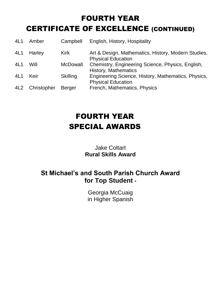## FOURTH YEAR CERTIFICATE OF EXCELLENCE (CONTINUED)

| 4L1 | Amber       | Campbell        | English, History, Hospitality                                                    |
|-----|-------------|-----------------|----------------------------------------------------------------------------------|
| 4L1 | Harley      | <b>Kirk</b>     | Art & Design, Mathematics, History, Modern Studies,<br><b>Physical Education</b> |
| 4L1 | Will        | <b>McDowall</b> | Chemistry, Engineering Science, Physics, English,<br><b>History, Mathematics</b> |
| 4L1 | Keir        | <b>Skilling</b> | Engineering Science, History, Mathematics, Physics,<br><b>Physical Education</b> |
| 4L2 | Christopher | <b>Berger</b>   | French, Mathematics, Physics                                                     |

## FOURTH YEAR SPECIAL AWARDS

#### Jake Coltart **Rural Skills Award**

#### **St Michael's and South Parish Church Award for Top Student -**

Georgia McCuaig in Higher Spanish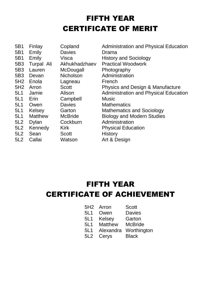## FIFTH YEAR CERTIFICATE OF MERIT

| 5B1 | Finlay         | Copland          | <b>Administration and Physical Education</b> |
|-----|----------------|------------------|----------------------------------------------|
| 5B1 | Emily          | <b>Davies</b>    | Drama                                        |
| 5B1 | Emily          | Visca            | <b>History and Sociology</b>                 |
| 5B3 | Turpal Ali     | Akhukhadzhaev    | <b>Practical Woodwork</b>                    |
| 5B3 | Lauren         | McDougall        | Photography                                  |
| 5B3 | Devan          | <b>Nicholson</b> | Administration                               |
| 5H2 | Enola          | Lagneau          | French                                       |
| 5H2 | Arron          | <b>Scott</b>     | Physics and Design & Manufacture             |
| 5L1 | Jamie          | Alison           | <b>Administration and Physical Education</b> |
| 5L1 | Erin           | Campbell         | <b>Music</b>                                 |
| 5L1 | Owen           | <b>Davies</b>    | <b>Mathematics</b>                           |
| 5L1 | Kelsey         | Garton           | <b>Mathematics and Sociology</b>             |
| 5L1 | <b>Matthew</b> | <b>McBride</b>   | <b>Biology and Modern Studies</b>            |
| 5L2 | <b>Dylan</b>   | Cockburn         | Administration                               |
|     |                |                  |                                              |
| 5L2 | Kennedy        | <b>Kirk</b>      | <b>Physical Education</b>                    |
| 5L2 | Sean           | <b>Scott</b>     | <b>History</b>                               |
| 5L2 | Callai         | Watson           | Art & Design                                 |

### FIFTH YEAR CERTIFICATE OF ACHIEVEMENT

| 5H2 | Arron | <b>Scott</b> |
|-----|-------|--------------|
|-----|-------|--------------|

- 5L1 Owen Davies
- 5L1 Kelsey Garton<br>5L1 Matthew McBride
- Matthew McBride
- 5L1 Alexandra Worthington
- 5L2 Cerys Black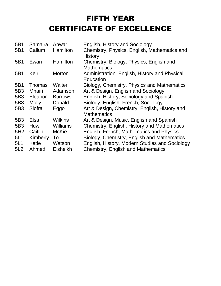## FIFTH YEAR CERTIFICATE OF EXCELLENCE

| 5B1 | Samaira      | Anwar           | English, History and Sociology                                      |
|-----|--------------|-----------------|---------------------------------------------------------------------|
| 5B1 | Callum       | Hamilton        | Chemistry, Physics, English, Mathematics and<br><b>History</b>      |
| 5B1 | Ewan         | Hamilton        | Chemistry, Biology, Physics, English and<br><b>Mathematics</b>      |
| 5B1 | Keir         | <b>Morton</b>   | Administration, English, History and Physical<br>Education          |
| 5B1 | Thomas       | Walter          | Biology, Chemistry, Physics and Mathematics                         |
| 5B3 | Mhairi       | Adamson         | Art & Design, English and Sociology                                 |
| 5B3 | Eleanor      | <b>Burrows</b>  | English, History, Sociology and Spanish                             |
| 5B3 | <b>Molly</b> | Donald          | Biology, English, French, Sociology                                 |
| 5B3 | Siofra       | Eggo            | Art & Design, Chemistry, English, History and<br><b>Mathematics</b> |
| 5B3 | Elsa         | <b>Wilkins</b>  | Art & Design, Music, English and Spanish                            |
| 5B3 | Huw          | <b>Williams</b> | Chemistry, English, History and Mathematics                         |
| 5H2 | Caitlin      | <b>McKie</b>    | English, French, Mathematics and Physics                            |
| 5L1 | Kimberly     | To              | Biology, Chemistry, English and Mathematics                         |
| 5L1 | Katie        | Watson          | English, History, Modern Studies and Sociology                      |
| 5L2 | Ahmed        | <b>Elsheikh</b> | <b>Chemistry, English and Mathematics</b>                           |
|     |              |                 |                                                                     |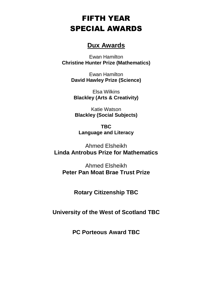### FIFTH YEAR SPECIAL AWARDS

#### **Dux Awards**

Ewan Hamilton **Christine Hunter Prize (Mathematics)**

> Ewan Hamilton **David Hawley Prize (Science)**

Elsa Wilkins **Blackley (Arts & Creativity)**

Katie Watson **Blackley (Social Subjects)**

**TBC Language and Literacy**

Ahmed Elsheikh **Linda Antrobus Prize for Mathematics**

Ahmed Elsheikh **Peter Pan Moat Brae Trust Prize**

**Rotary Citizenship TBC**

**University of the West of Scotland TBC**

**PC Porteous Award TBC**